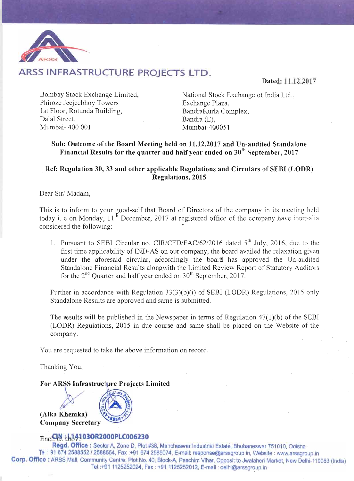

# ARSS INFRASTRUCTURE PROJECTS LTD.

Dated: 11.12.2017

Bombay Stock Exchange Limited, Phiroze Jeejeebhov Towers 1st Floor, Rotunda Building. Dalal Street. Mumbai- 400 001

National Stock Exchange of India Ltd., Exchange Plaza, BandraKurla Complex. Bandra (E), Mumbai-400051

### Sub: Outcome of the Board Meeting held on 11.12.2017 and Un-audited Standalone Financial Results for the quarter and half year ended on  $30<sup>th</sup>$  September, 2017

## Ref: Regulation 30, 33 and other applicable Regulations and Circulars of SEBI (LODR) **Regulations, 2015**

Dear Sir/Madam,

This is to inform to your good-self that Board of Directors of the company in its meeting held today i. e on Monday,  $11^{th}$  December, 2017 at registered office of the company have inter-alia considered the following:

1. Pursuant to SEBI Circular no. CIR/CFD/FAC/62/2016 dated 5<sup>th</sup> July, 2016, due to the first time applicability of IND-AS on our company, the board availed the relaxation given under the aforesaid circular, accordingly the board has approved the Un-audited Standalone Financial Results alongwith the Limited Review Report of Statutory Auditors for the  $2^{nd}$  Quarter and half year ended on  $30^{th}$  September, 2017.

Further in accordance with Regulation 33(3)(b)(i) of SEBI (LODR) Regulations, 2015 only Standalone Results are approved and same is submitted.

The results will be published in the Newspaper in terms of Regulation  $47(1)(b)$  of the SEBI (LODR) Regulations, 2015 in due course and same shall be placed on the Website of the company.

You are requested to take the above information on record.

Thanking You,

### For ARSS Infrastructure Projects Limited

(Alka Khemka) **Company Secretary** 



### Enc.CIN 51342030R2000PLC006230

Regd. Office: Sector A. Zone D. Plot #38, Mancheswar Industrial Estate. Bhubaneswar 751010. Odisha Tel: 91 674 2588552 / 2588554, Fax:+91 674 2585074, E-mail: response@arssgroup.in, Website: www.arssgroup.in Corp. Office : ARSS Mall, Community Centre, Plot No. 40, Block-A, Paschim Vihar, Opposit to Jwalaheri Market, New Delhi-110063 (India) Tel.:+91 1125252024, Fax: +91 1125252012, E-mail: delhi@arssgroup.in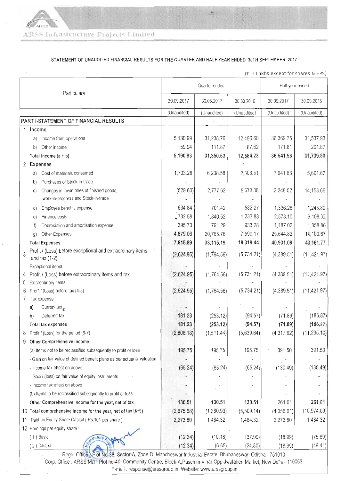#### STATEMENT OF UNAUDITED FINANCIAL RESULTS FOR THE QUARTER AND HALF YEAR ENDED 30TH SEPTEMBER, 2017

(₹ in Lakhs except for shares & EPS)

| Particulars                                                                            |                                                                                                        | Quarter ended       |             |             | Half year ended |              |
|----------------------------------------------------------------------------------------|--------------------------------------------------------------------------------------------------------|---------------------|-------------|-------------|-----------------|--------------|
|                                                                                        |                                                                                                        | 30.09.2017          | 30.06.2017  | 30.09.2016  | 30.09.2017      | 30.09.2016   |
|                                                                                        |                                                                                                        | (Unaudited)         | (Unaudited) | (Unaudited) | (Unaudited)     | (Unaudited)  |
| PART I-STATEMENT OF FINANCIAL RESULTS                                                  |                                                                                                        |                     |             |             |                 |              |
| 1 Income                                                                               |                                                                                                        |                     |             |             |                 |              |
| Income from operations<br>a)                                                           |                                                                                                        | 5,130.99            | 31,238.76   | 12,496.60   | 36,369.75       | 31,537.93    |
| Other income<br>b)                                                                     |                                                                                                        | 59.94               | 111.87      | 87.62       | 171.81          | 201.87       |
| Total Income $(a + b)$                                                                 |                                                                                                        | 5,190.93            | 31,350.63   | 12,584.23   | 36,541.56       | 31,739.80    |
| 2 Expenses                                                                             |                                                                                                        |                     |             |             |                 |              |
| Cost of materials consumed<br>a)                                                       |                                                                                                        | 1,703.28            | 6,238.58    | 2,308.51    | 7,941.86        | 5,691.67     |
| Purchases of Stock-in-trade<br>b)                                                      |                                                                                                        |                     |             |             |                 |              |
| Changes in Inventories of finished goods,<br>C)<br>work-in-progress and Stock-in-trade |                                                                                                        | (529.60)            | 2,777.62    | 5,670.38    | 2,248.02        | 14,153.66    |
| Employee benefits expense<br>d)                                                        |                                                                                                        | 634.84              | 701.42      | 582.27      | 1,336.26        | 1,248.89     |
| Finance costs<br>e)                                                                    |                                                                                                        | $\frac{1}{2}732.58$ | 1,840.52    | 1,233.83    | 2,573.10        | 6,108.02     |
| Depreciation and amortisation expense<br>$\uparrow$                                    |                                                                                                        | 395.73              | 791.29      | 933.28      | 1,187.02        | 1,858.86     |
| Other Expenses<br>g)                                                                   |                                                                                                        | 4,879.06            | 20,765.76   | 7,590.17    | 25,644.82       | 14,100.67    |
| <b>Total Expenses</b>                                                                  |                                                                                                        | 7,815.89            | 33,115.19   | 18,318.44   | 40,931.08       | 43, 161.77   |
| Profit / (Loss) before exceptional and extraordinary items<br>3<br>and tax $(1-2)$     |                                                                                                        | (2,624.95)          | (1,764.56)  | (5,734.21)  | (4,389.51)      | (11, 421.97) |
| Exceptional items                                                                      |                                                                                                        |                     |             |             |                 |              |
| 4 Profit / (Loss) before extraordinary items and tax                                   |                                                                                                        | (2,624.95)          | (1,764.56)  | (5,734.21)  | (4,389.51)      | (11, 421.97) |
| Extraordinary items<br>5                                                               |                                                                                                        |                     |             |             |                 |              |
| Profit / (Loss) before tax (4-5)<br>6                                                  |                                                                                                        | (2,624.95)          | (1,764.56)  | (5,734.21)  | (4,389.51)      | (11, 421.97) |
| 7 Tax expense :                                                                        |                                                                                                        |                     |             |             |                 |              |
| Current tax $\mathbf{r}$<br>a)                                                         |                                                                                                        |                     |             |             |                 |              |
| Deferred tax<br>b)                                                                     |                                                                                                        | 181.23              | (253.12)    | (94.57)     | (71.89)         | (186.87)     |
| Total tax expenses                                                                     |                                                                                                        | 181.23              | (253.12)    | (94.57)     | (71.89)         | (186.87)     |
| 8 Profit / (Loss) for the period (6-7)                                                 |                                                                                                        | (2,806.18)          | (1, 511.44) | (5,639.64)  | (4, 317.62)     | (11, 235.10) |
| Other Comprehensive income<br>9                                                        |                                                                                                        |                     |             |             |                 |              |
| (a) Items not to be reclassified subsequently to profit or loss                        |                                                                                                        | 195.75              | 195.75      | 195.75      | 391.50          | 391.50       |
| - Gain on fair value of defined benefit plans as per actuarial valuation               |                                                                                                        |                     |             |             |                 |              |
| - income tax effect on above                                                           |                                                                                                        | (65.24)             | (65.24)     | (65.24)     | (130.49)        | (130.49)     |
| - Gain / (loss) on fair value of equity instruments                                    |                                                                                                        |                     |             |             |                 |              |
| - Income tax effect on above                                                           |                                                                                                        |                     |             |             |                 |              |
| (b) Items to be reclassified subsequently to profit or loss                            |                                                                                                        |                     |             |             |                 |              |
| Other Comprehensive income for the year, net of tax                                    |                                                                                                        | 130.51              | 130.51      | 130.51      | 261.01          | 261.01       |
| 10 Total comprehensive income for the year, net of tax (8+9)                           |                                                                                                        | (2,675.68)          | (1,380.93)  | (5,509.14)  | (4,056.61)      | (10, 974.09) |
| Paid up Equity Share Capital (Rs.10/- per share)<br>11                                 |                                                                                                        | 2,273.80            | 1,484.32    | 1,484.32    | 2,273.80        | 1,484.32     |
| 12 Earnings per equity share:                                                          |                                                                                                        |                     |             |             |                 |              |
| (1) Basic                                                                              |                                                                                                        | (12.34)             | (10.18)     | (37.99)     | (18.99)         | (75.69)      |
| (2) Diluted                                                                            |                                                                                                        | (12.34)             | (6.65)      | (24.80)     | (18.99)         | (49.41)      |
|                                                                                        | Regd. Office, Plot No-38, Sector-A, Zone-D, Mancheswar Industrial Estate, Bhubaneswar, Odisha - 751010 |                     |             |             |                 |              |

Corp. Office: ARSS Mall, Plot no-40, Community Centre, Block-A, Paschim Vihar, Opp-Jwalaheri Market, New Delhi - 110063 E-mail : response@arssgroup.in, Website: www.arssgroup.in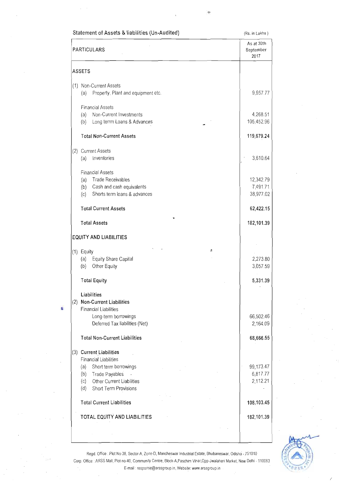|             | Statement of Assets & liabilities (Un-Audited)                                                                                        | (Rs. in Lakhs)                        |
|-------------|---------------------------------------------------------------------------------------------------------------------------------------|---------------------------------------|
| PARTICULARS | As at 30th<br>September<br>2017                                                                                                       |                                       |
|             | <b>ASSETS</b>                                                                                                                         |                                       |
|             | (1) Non-Current Assets<br>Property, Plant and equipment etc.<br>(a)                                                                   | 9,957.77                              |
|             | <b>Financial Assets</b><br>Non-Current Investments<br>(a)<br>Long terrm Loans & Advances<br>(b)                                       | 4,268.51<br>105,452.96                |
|             | <b>Total Non-Current Assets</b>                                                                                                       | 119,679.24                            |
| (2)         | <b>Current Assets</b><br>Inventories<br>(a)                                                                                           | 3,610.64                              |
|             | <b>Financial Assets</b><br><b>Trade Receivables</b><br>(a)<br>Cash and cash equivalents<br>(b)<br>Shorts term loans & advances<br>(c) | 12,342.79<br>$-7,491.71$<br>38,977.02 |
|             | <b>Total Current Assets</b>                                                                                                           | 62,422.15                             |
|             | <b>Total Assets</b>                                                                                                                   | 182,101.39                            |
|             | <b>EQUITY AND LIABILITIES</b>                                                                                                         |                                       |
|             | ă<br>$(1)$ Equity<br>Equity Share Capital<br>(a)<br>Other Equity<br>(b)                                                               | 2,273.80<br>3,057.59                  |
|             | <b>Total Equity</b>                                                                                                                   | 5,331.39                              |
|             | Liabilities<br>(2) Non-Current Liabilities<br><b>Financial Liabilities</b><br>Long-term borrowings<br>Deferred Tax liabilities (Net)  | 66,502.46<br>2,164.09                 |
|             | <b>Total Non-Current Liabilities</b>                                                                                                  | 68,666.55                             |
| (3)         | <b>Current Liabilities</b><br><b>Financial Liabilities</b>                                                                            |                                       |
|             | Short term borrowings<br>(a)<br>Trade Payables<br>(b)<br>Other Current Liabilities<br>(c)<br>Short Term Provisions<br>(d)             | 99,173.47<br>6,817.77<br>2,112.21     |
|             | <b>Total Current Liabilities</b>                                                                                                      | 108,103.45                            |
|             | TOTAL EQUITY AND LIABILITIES                                                                                                          | 182,101.39                            |
|             |                                                                                                                                       |                                       |

k,



Regd. Office : Plot No-38, Sector-A, Zone-D, Mancheswar Industrial Estate, Bhubaneswar, Odisha - 751010 Corp. Office: ARSS Mall, Plot no-40, Community Centre, Block-A, Paschim Vihar, Opp-Jwalaheri Market, New Delhi - 110063 E-mail : response@arssgroup.in, Website: www.arssgroup.in -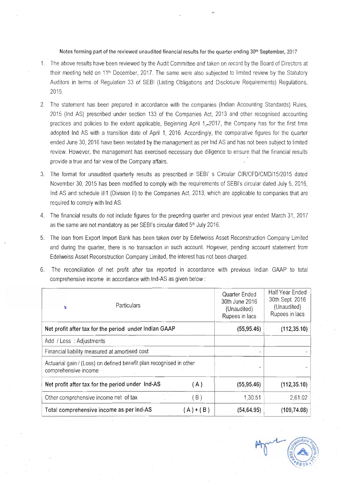#### Notes forming part of the reviewed unaudited financial results for the quarter ending 30th September, 2017

- 1. The above results have been reviewed by the Audit Committee and taken on record by the Board of Directors at their meeting held on 11<sup>th</sup> December, 2017. The same were also subjected to limited review by the Statutory Auditors in terms of Regulation 33 of SEBI (Listing Obligations and Disclosure Requirements) Regulations, 2015.
- 2. The statement has been prepared in accordance with the companies (Indian Accounting Standards) Rules, 2015 (Ind AS) prescribed under section 133 of the Companies Act, 2013 and other recognised accounting practices and policies to the extent applicable, Beginning April 1, 2017, the Company has for the first time adopted Ind AS with a transition date of April 1, 2016. Accordingly, the comparative figures for the quarter ended June 30, 2016 have been restated by the management as per Ind AS and has not been subject to limited review. However, the management has exercised necessary due diligence to ensure that the financial results provide a true and fair view of the Company affairs.
- 3. The format for unaudited quarterly results as prescribed in SEBI's Circular CIR/CFD/CMD/15/2015 dated November 30, 2015 has been modified to comply with the requirements of SEBI's circular dated July 5, 2016. Ind AS and schedule III1 (Division II) to the Companies Act, 2013, which are applicable to companies that are required to comply with Ind AS.
- 4. The financial results do not include figures for the preceding quarter and previous year ended March 31, 2017 as the same are not mandatory as per SEBI's circular dated 5th July 2016.
- 5. The loan from Export Import Bank has been taken over by Edelweiss Asset Reconstruction Company Limited and during the quarter, there is no transaction in such account. However, pending account statement from Edelweiss Asset Reconstruction Company Limited, the interest has not been charged.
- 6. The reconciliation of net profit after tax reported in accordance with previous Indian GAAP to total comprehensive income in accordance with Ind-AS as given below:

| Particulars<br>Ł                                                                            |                                                  |           | Quarter Ended<br>30th June 2016<br>(Unaudited)<br>Rupees in lacs | <b>Half Year Ended</b><br>30th Sept. 2016<br>(Unaudited)<br>Rupees in lacs |
|---------------------------------------------------------------------------------------------|--------------------------------------------------|-----------|------------------------------------------------------------------|----------------------------------------------------------------------------|
| Net profit after tax for the period under Indian GAAP                                       |                                                  |           | (55, 95.46)                                                      | (112, 35.10)                                                               |
| Add / Less: Adjustments                                                                     |                                                  |           |                                                                  |                                                                            |
| Financial liability measured at amortised cost                                              |                                                  |           | ۰                                                                |                                                                            |
| Actuarial gain / (Loss) on defined benefit plan recognised in other<br>comprehensive income |                                                  |           |                                                                  |                                                                            |
|                                                                                             | Net profit after tax for the period under Ind-AS | (A)       | (55, 95.46)                                                      | (112, 35.10)                                                               |
|                                                                                             | Other comprehensive income net of tax            | (B)       | 1,30.51                                                          | 2,61.02                                                                    |
|                                                                                             | Total comprehensive income as per Ind-AS         | $(A)+(B)$ | (54, 64.95)                                                      | (109, 74.08)                                                               |

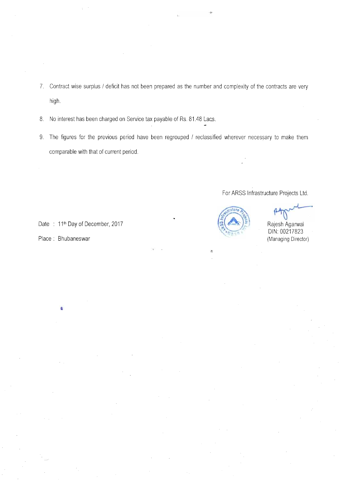- 7. Contract wise surplus / deficit has not been prepared as the number and complexity of the contracts are very high.
- 8. No interest has been charged on Service tax payable of Rs. 81.48 Lacs.
- 9. The figures for the previous period have been regrouped / reclassified wherever necessary to make them comparable with that of current period.

For ARSS Infrastructure Projects Ltd.



Rajesh Agarwal DIN: 00217823 (Managing Director)

Date: 11<sup>th</sup> Day of December, 2017

Place: Bhubaneswar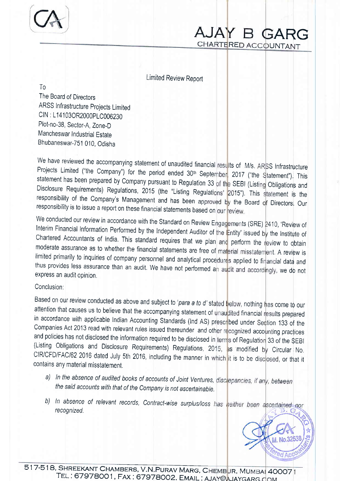

CHARTERED ACCOUNTANT AJAY B GARG

Limited Review Report

 $T<sub>0</sub>$ 

The Board of Directors ARSS Infrastructure projects Limited CIN: L14103OR2000PLC006230 Plot-no-38, Sector-A, Zone-D Mancheswar Industrial Estate Bhubaneswar-751 010, Odisha

We have reviewed the accompanying statement of unaudited financial resu<mark>lts of M/s. ARSS Infrastructure</mark> Projects Limited ("the Company") for the period ended 30<sup>th</sup> September, 2017 ("the Statement"), This responsibility of the Company's Management and has been approved by the Board of Directors, Our responsibility is to issue a report on these financial statements based on our review. statement has been prepared by Company pursuant to Regulation 33 of the SEBI (Listing Obligations and Disclosure Requirements) Regulations, 2015 (the "Listing Regulations' 2015"). This statement is the

express an audit opinion, We conducted our review in accordance with the Standard on Review Engagements (SRE) 2410, 'Review of<br>Interim Financial Information Pr. C. (1999) (1999) Interim Financial Information Performed by the Independent Auditor of the Entity' issued by the Institute of Chartered Accountants of India. This standard requires that we plan and perform the review to obtain moderate assurance as to whether the financial statements are free of material misstatement. A review is limited primarily to inquiries of company personnel and analytical procedures applied to financial data and thus provides less assurance than an audit. We have not performed an audit and accordingly, we do not

# Conclusion;

Based on our review conducted as above and subject to '*para a to d'* stated below, nothing has come to our attention that causes us to believe that the accompanying statement of unaudited financial results prepared in accordance with applicable Indian Accounting Standards (Ind AS) prescribed under Section 133 of the Companies Act 2013 read with relevant rules issued thereunder and other recognized accounting practices and policies has not disclosed the information required to be disclosed in terms of Regulation 33 of the \$EBI (Listing Obligations and Disclosure Requirements) Regulations, 2015, as modified by Circular No CIR/CFD/FAC/62 2016 dated July 5th 2016, including the manner in which it is to be disclosed, or that it contains any material misstatement.

- a) In the absence of audited books of accounts of Joint Ventures, disclepancies, if any, between the said accounts with that of the company is not ascertainable,
- b) In absence of relevant records, Contract-wise surplus/loss has neither been ascertained nor recognized,



517-518, SHREEKANT CHAMBERS, V.N.PURAV MARG, CHEMBUR, MUMBAL 40007 TEL : 67978001, FAX : 67978002. EMAIL : AJAY@AJAYGARG.